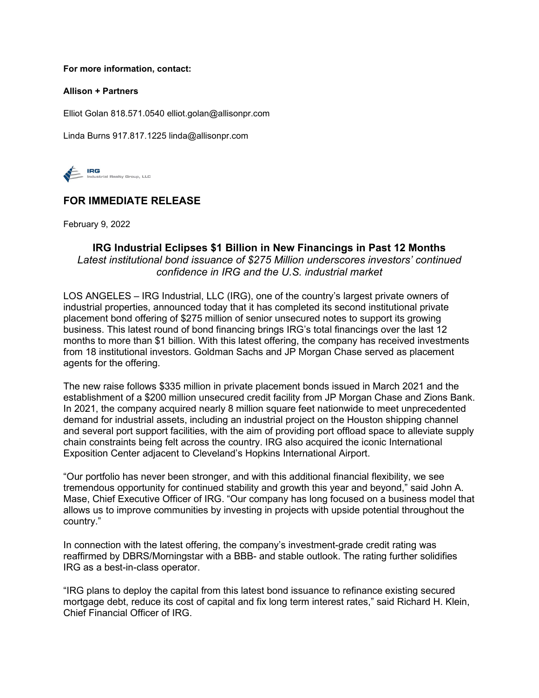### **For more information, contact:**

#### **Allison + Partners**

Elliot Golan 818.571.0540 elliot.golan@allisonpr.com

Linda Burns 917.817.1225 linda@allisonpr.com

**IRG**<br>Industrial Realty Group, LLC

# **FOR IMMEDIATE RELEASE**

February 9, 2022

## **IRG Industrial Eclipses \$1 Billion in New Financings in Past 12 Months**

*Latest institutional bond issuance of \$275 Million underscores investors' continued confidence in IRG and the U.S. industrial market*

LOS ANGELES – IRG Industrial, LLC (IRG), one of the country's largest private owners of industrial properties, announced today that it has completed its second institutional private placement bond offering of \$275 million of senior unsecured notes to support its growing business. This latest round of bond financing brings IRG's total financings over the last 12 months to more than \$1 billion. With this latest offering, the company has received investments from 18 institutional investors. Goldman Sachs and JP Morgan Chase served as placement agents for the offering.

The new raise follows \$335 million in private placement bonds issued in March 2021 and the establishment of a \$200 million unsecured credit facility from JP Morgan Chase and Zions Bank. In 2021, the company acquired nearly 8 million square feet nationwide to meet unprecedented demand for industrial assets, including an industrial project on the Houston shipping channel and several port support facilities, with the aim of providing port offload space to alleviate supply chain constraints being felt across the country. IRG also acquired the iconic International Exposition Center adjacent to Cleveland's Hopkins International Airport.

"Our portfolio has never been stronger, and with this additional financial flexibility, we see tremendous opportunity for continued stability and growth this year and beyond," said John A. Mase, Chief Executive Officer of IRG. "Our company has long focused on a business model that allows us to improve communities by investing in projects with upside potential throughout the country."

In connection with the latest offering, the company's investment-grade credit rating was reaffirmed by DBRS/Morningstar with a BBB- and stable outlook. The rating further solidifies IRG as a best-in-class operator.

"IRG plans to deploy the capital from this latest bond issuance to refinance existing secured mortgage debt, reduce its cost of capital and fix long term interest rates," said Richard H. Klein, Chief Financial Officer of IRG.